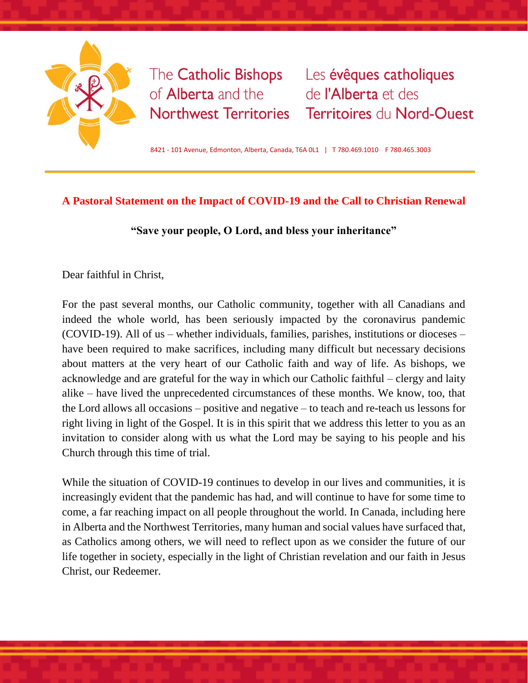

The **Catholic Bishops** of **Alberta** and the **Northwest Territories** 

Les évêques catholiques de l'Alberta et des Territoires du Nord-Ouest

8421 - 101 Avenue, Edmonton, Alberta, Canada, T6A 0L1 | T 780.469.1010 F 780.465.3003

## **A Pastoral Statement on the Impact of COVID-19 and the Call to Christian Renewal**

**"Save your people, O Lord, and bless your inheritance"**

Dear faithful in Christ,

For the past several months, our Catholic community, together with all Canadians and indeed the whole world, has been seriously impacted by the coronavirus pandemic (COVID-19). All of us – whether individuals, families, parishes, institutions or dioceses – have been required to make sacrifices, including many difficult but necessary decisions about matters at the very heart of our Catholic faith and way of life. As bishops, we acknowledge and are grateful for the way in which our Catholic faithful – clergy and laity alike – have lived the unprecedented circumstances of these months. We know, too, that the Lord allows all occasions – positive and negative – to teach and re-teach us lessons for right living in light of the Gospel. It is in this spirit that we address this letter to you as an invitation to consider along with us what the Lord may be saying to his people and his Church through this time of trial.

While the situation of COVID-19 continues to develop in our lives and communities, it is increasingly evident that the pandemic has had, and will continue to have for some time to come, a far reaching impact on all people throughout the world. In Canada, including here in Alberta and the Northwest Territories, many human and social values have surfaced that, as Catholics among others, we will need to reflect upon as we consider the future of our life together in society, especially in the light of Christian revelation and our faith in Jesus Christ, our Redeemer.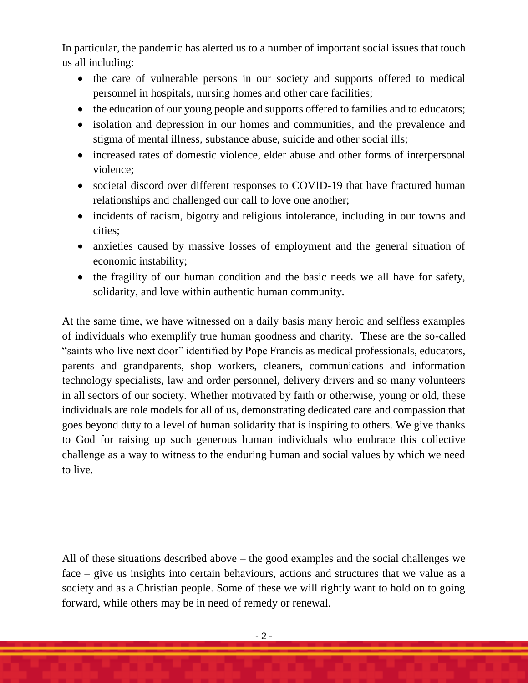In particular, the pandemic has alerted us to a number of important social issues that touch us all including:

- the care of vulnerable persons in our society and supports offered to medical personnel in hospitals, nursing homes and other care facilities;
- the education of our young people and supports offered to families and to educators;
- isolation and depression in our homes and communities, and the prevalence and stigma of mental illness, substance abuse, suicide and other social ills;
- increased rates of domestic violence, elder abuse and other forms of interpersonal violence;
- societal discord over different responses to COVID-19 that have fractured human relationships and challenged our call to love one another;
- incidents of racism, bigotry and religious intolerance, including in our towns and cities;
- anxieties caused by massive losses of employment and the general situation of economic instability;
- the fragility of our human condition and the basic needs we all have for safety, solidarity, and love within authentic human community.

At the same time, we have witnessed on a daily basis many heroic and selfless examples of individuals who exemplify true human goodness and charity. These are the so-called "saints who live next door" identified by Pope Francis as medical professionals, educators, parents and grandparents, shop workers, cleaners, communications and information technology specialists, law and order personnel, delivery drivers and so many volunteers in all sectors of our society. Whether motivated by faith or otherwise, young or old, these individuals are role models for all of us, demonstrating dedicated care and compassion that goes beyond duty to a level of human solidarity that is inspiring to others. We give thanks to God for raising up such generous human individuals who embrace this collective challenge as a way to witness to the enduring human and social values by which we need to live.

All of these situations described above – the good examples and the social challenges we face – give us insights into certain behaviours, actions and structures that we value as a society and as a Christian people. Some of these we will rightly want to hold on to going forward, while others may be in need of remedy or renewal.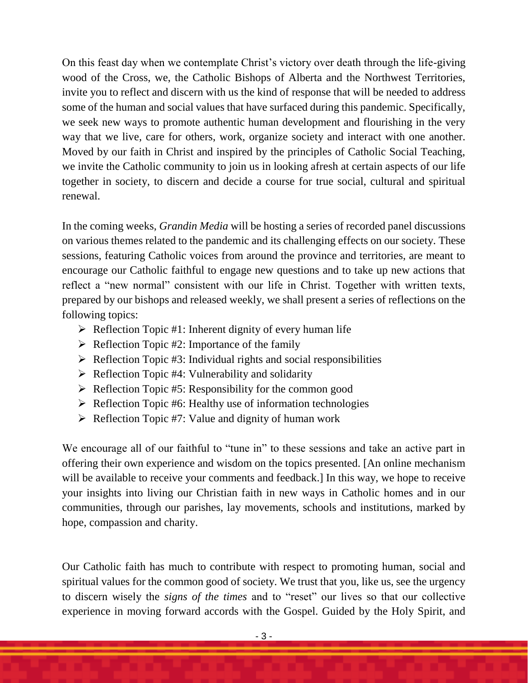On this feast day when we contemplate Christ's victory over death through the life-giving wood of the Cross, we, the Catholic Bishops of Alberta and the Northwest Territories, invite you to reflect and discern with us the kind of response that will be needed to address some of the human and social values that have surfaced during this pandemic. Specifically, we seek new ways to promote authentic human development and flourishing in the very way that we live, care for others, work, organize society and interact with one another. Moved by our faith in Christ and inspired by the principles of Catholic Social Teaching, we invite the Catholic community to join us in looking afresh at certain aspects of our life together in society, to discern and decide a course for true social, cultural and spiritual renewal.

In the coming weeks, *Grandin Media* will be hosting a series of recorded panel discussions on various themes related to the pandemic and its challenging effects on our society. These sessions, featuring Catholic voices from around the province and territories, are meant to encourage our Catholic faithful to engage new questions and to take up new actions that reflect a "new normal" consistent with our life in Christ. Together with written texts, prepared by our bishops and released weekly, we shall present a series of reflections on the following topics:

- $\triangleright$  Reflection Topic #1: Inherent dignity of every human life
- $\triangleright$  Reflection Topic #2: Importance of the family
- $\triangleright$  Reflection Topic #3: Individual rights and social responsibilities
- $\triangleright$  Reflection Topic #4: Vulnerability and solidarity
- $\triangleright$  Reflection Topic #5: Responsibility for the common good
- $\triangleright$  Reflection Topic #6: Healthy use of information technologies
- $\triangleright$  Reflection Topic #7: Value and dignity of human work

We encourage all of our faithful to "tune in" to these sessions and take an active part in offering their own experience and wisdom on the topics presented. [An online mechanism will be available to receive your comments and feedback.] In this way, we hope to receive your insights into living our Christian faith in new ways in Catholic homes and in our communities, through our parishes, lay movements, schools and institutions, marked by hope, compassion and charity.

Our Catholic faith has much to contribute with respect to promoting human, social and spiritual values for the common good of society. We trust that you, like us, see the urgency to discern wisely the *signs of the times* and to "reset" our lives so that our collective experience in moving forward accords with the Gospel. Guided by the Holy Spirit, and